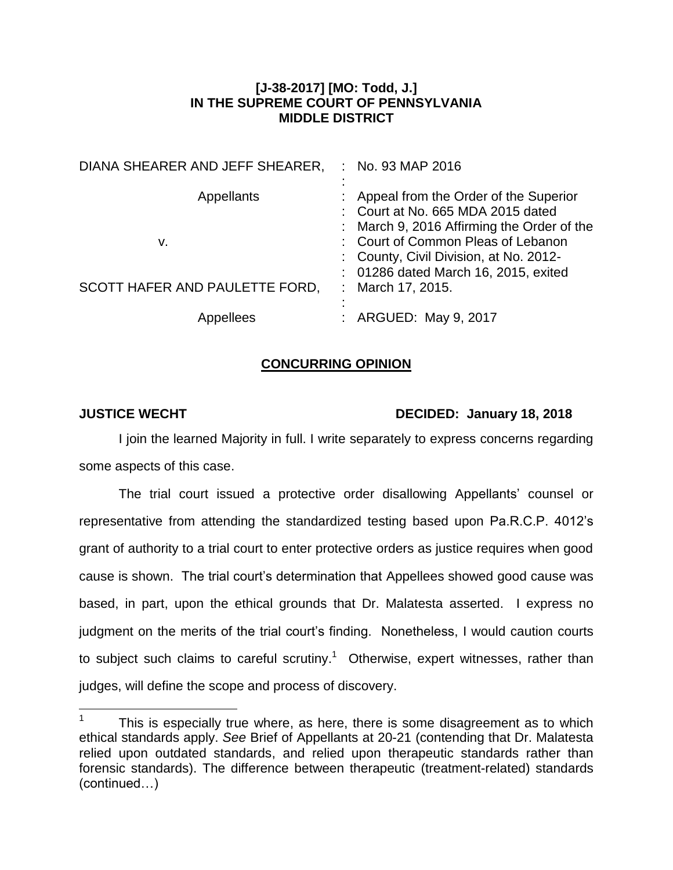## **[J-38-2017] [MO: Todd, J.] IN THE SUPREME COURT OF PENNSYLVANIA MIDDLE DISTRICT**

| DIANA SHEARER AND JEFF SHEARER, | No. 93 MAP 2016                                                                                                            |
|---------------------------------|----------------------------------------------------------------------------------------------------------------------------|
| <b>Appellants</b>               | : Appeal from the Order of the Superior<br>: Court at No. 665 MDA 2015 dated<br>: March 9, 2016 Affirming the Order of the |
| v.                              | : Court of Common Pleas of Lebanon<br>: County, Civil Division, at No. 2012-<br>: 01286 dated March 16, 2015, exited       |
| SCOTT HAFER AND PAULETTE FORD,  | March 17, 2015.                                                                                                            |
| Appellees                       | : ARGUED: May 9, 2017                                                                                                      |

## **CONCURRING OPINION**

 $\overline{a}$ 

## **JUSTICE WECHT DECIDED: January 18, 2018**

I join the learned Majority in full. I write separately to express concerns regarding some aspects of this case.

The trial court issued a protective order disallowing Appellants' counsel or representative from attending the standardized testing based upon Pa.R.C.P. 4012's grant of authority to a trial court to enter protective orders as justice requires when good cause is shown. The trial court's determination that Appellees showed good cause was based, in part, upon the ethical grounds that Dr. Malatesta asserted. I express no judgment on the merits of the trial court's finding. Nonetheless, I would caution courts to subject such claims to careful scrutiny.<sup>1</sup> Otherwise, expert witnesses, rather than judges, will define the scope and process of discovery.

<sup>1</sup> This is especially true where, as here, there is some disagreement as to which ethical standards apply. *See* Brief of Appellants at 20-21 (contending that Dr. Malatesta relied upon outdated standards, and relied upon therapeutic standards rather than forensic standards). The difference between therapeutic (treatment-related) standards (continued…)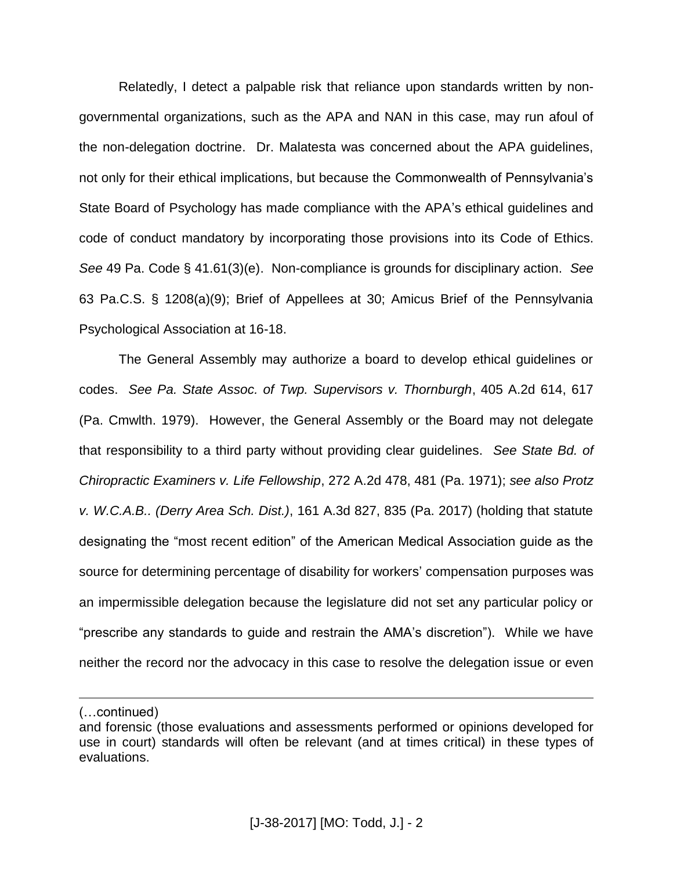Relatedly, I detect a palpable risk that reliance upon standards written by nongovernmental organizations, such as the APA and NAN in this case, may run afoul of the non-delegation doctrine. Dr. Malatesta was concerned about the APA guidelines, not only for their ethical implications, but because the Commonwealth of Pennsylvania's State Board of Psychology has made compliance with the APA's ethical guidelines and code of conduct mandatory by incorporating those provisions into its Code of Ethics. *See* 49 Pa. Code § 41.61(3)(e). Non-compliance is grounds for disciplinary action. *See* 63 Pa.C.S. § 1208(a)(9); Brief of Appellees at 30; Amicus Brief of the Pennsylvania Psychological Association at 16-18.

The General Assembly may authorize a board to develop ethical guidelines or codes. *See Pa. State Assoc. of Twp. Supervisors v. Thornburgh*, 405 A.2d 614, 617 (Pa. Cmwlth. 1979). However, the General Assembly or the Board may not delegate that responsibility to a third party without providing clear guidelines. *See State Bd. of Chiropractic Examiners v. Life Fellowship*, 272 A.2d 478, 481 (Pa. 1971); *see also Protz v. W.C.A.B.. (Derry Area Sch. Dist.)*, 161 A.3d 827, 835 (Pa. 2017) (holding that statute designating the "most recent edition" of the American Medical Association guide as the source for determining percentage of disability for workers' compensation purposes was an impermissible delegation because the legislature did not set any particular policy or "prescribe any standards to guide and restrain the AMA's discretion"). While we have neither the record nor the advocacy in this case to resolve the delegation issue or even

 $\overline{a}$ 

<sup>(…</sup>continued)

and forensic (those evaluations and assessments performed or opinions developed for use in court) standards will often be relevant (and at times critical) in these types of evaluations.